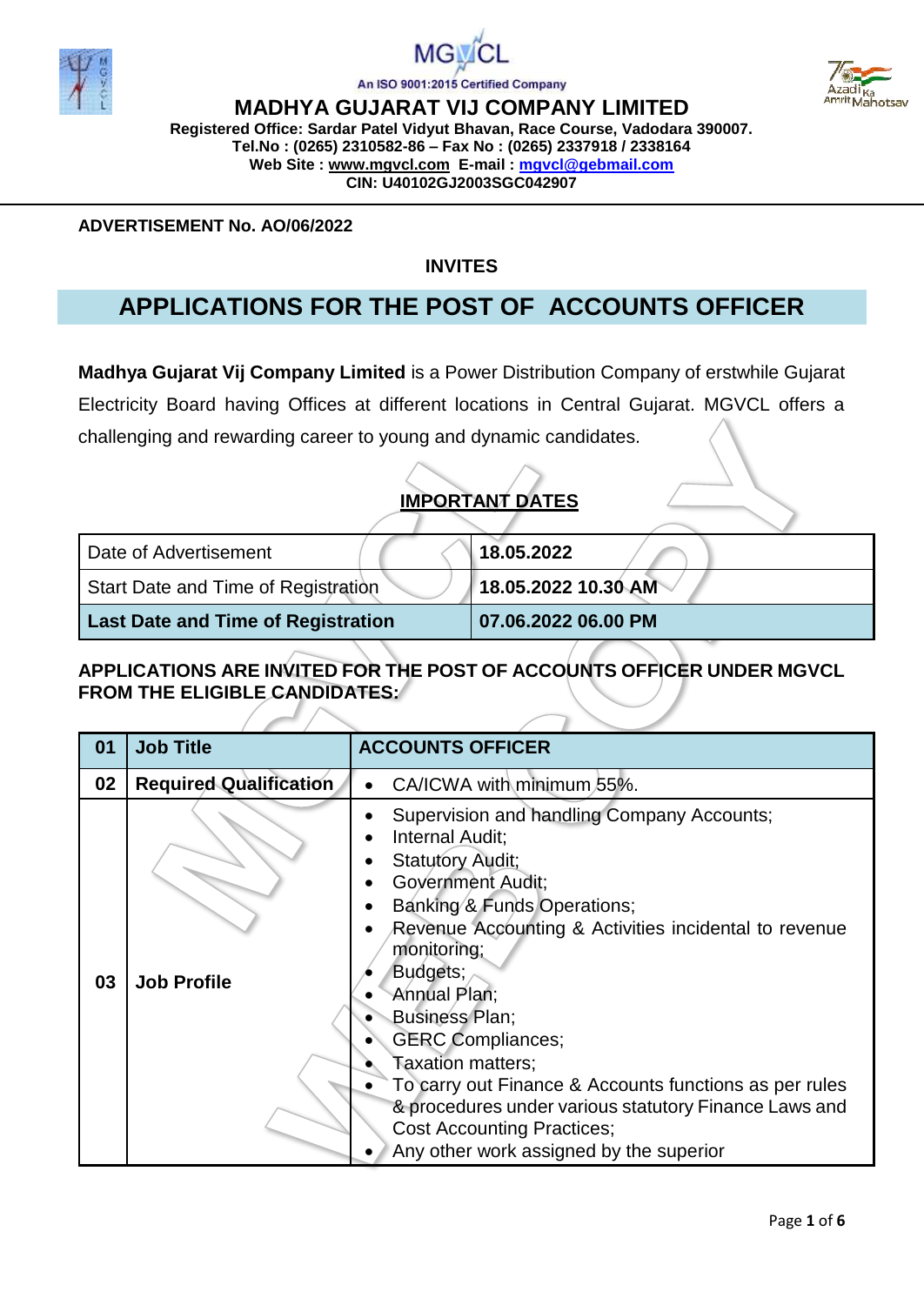



Mahotsay

An ISO 9001:2015 Certified Company

**MADHYA GUJARAT VIJ COMPANY LIMITED Registered Office: Sardar Patel Vidyut Bhavan, Race Course, Vadodara 390007. Tel.No : (0265) 2310582-86 – Fax No : (0265) 2337918 / 2338164 Web Site : [www.mgvcl.com](http://www.mgvcl.com/) E-mail : [mgvcl@gebmail.com](mailto:mgvcl@gebmail.com) CIN: U40102GJ2003SGC042907**

**ADVERTISEMENT No. AO/06/2022**

#### **INVITES**

# **APPLICATIONS FOR THE POST OF ACCOUNTS OFFICER**

**Madhya Gujarat Vij Company Limited** is a Power Distribution Company of erstwhile Gujarat Electricity Board having Offices at different locations in Central Gujarat. MGVCL offers a challenging and rewarding career to young and dynamic candidates.

### **IMPORTANT DATES**

| Date of Advertisement                     | 18.05.2022          |
|-------------------------------------------|---------------------|
| Start Date and Time of Registration       | 18.05.2022 10.30 AM |
| <b>Last Date and Time of Registration</b> | 07.06.2022 06.00 PM |

### **APPLICATIONS ARE INVITED FOR THE POST OF ACCOUNTS OFFICER UNDER MGVCL FROM THE ELIGIBLE CANDIDATES:**

| 01 | <b>Job Title</b>              | <b>ACCOUNTS OFFICER</b>                                                                                                                                                                                                                                                                                                                                                                                                                                                                                                              |
|----|-------------------------------|--------------------------------------------------------------------------------------------------------------------------------------------------------------------------------------------------------------------------------------------------------------------------------------------------------------------------------------------------------------------------------------------------------------------------------------------------------------------------------------------------------------------------------------|
| 02 | <b>Required Qualification</b> | CA/ICWA with minimum 55%.<br>$\bullet$                                                                                                                                                                                                                                                                                                                                                                                                                                                                                               |
| 03 | <b>Job Profile</b>            | Supervision and handling Company Accounts;<br>Internal Audit;<br><b>Statutory Audit;</b><br><b>Government Audit;</b><br>Banking & Funds Operations;<br>Revenue Accounting & Activities incidental to revenue<br>monitoring;<br>Budgets;<br>Annual Plan;<br><b>Business Plan;</b><br><b>GERC Compliances;</b><br>Taxation matters;<br>To carry out Finance & Accounts functions as per rules<br>& procedures under various statutory Finance Laws and<br><b>Cost Accounting Practices;</b><br>Any other work assigned by the superior |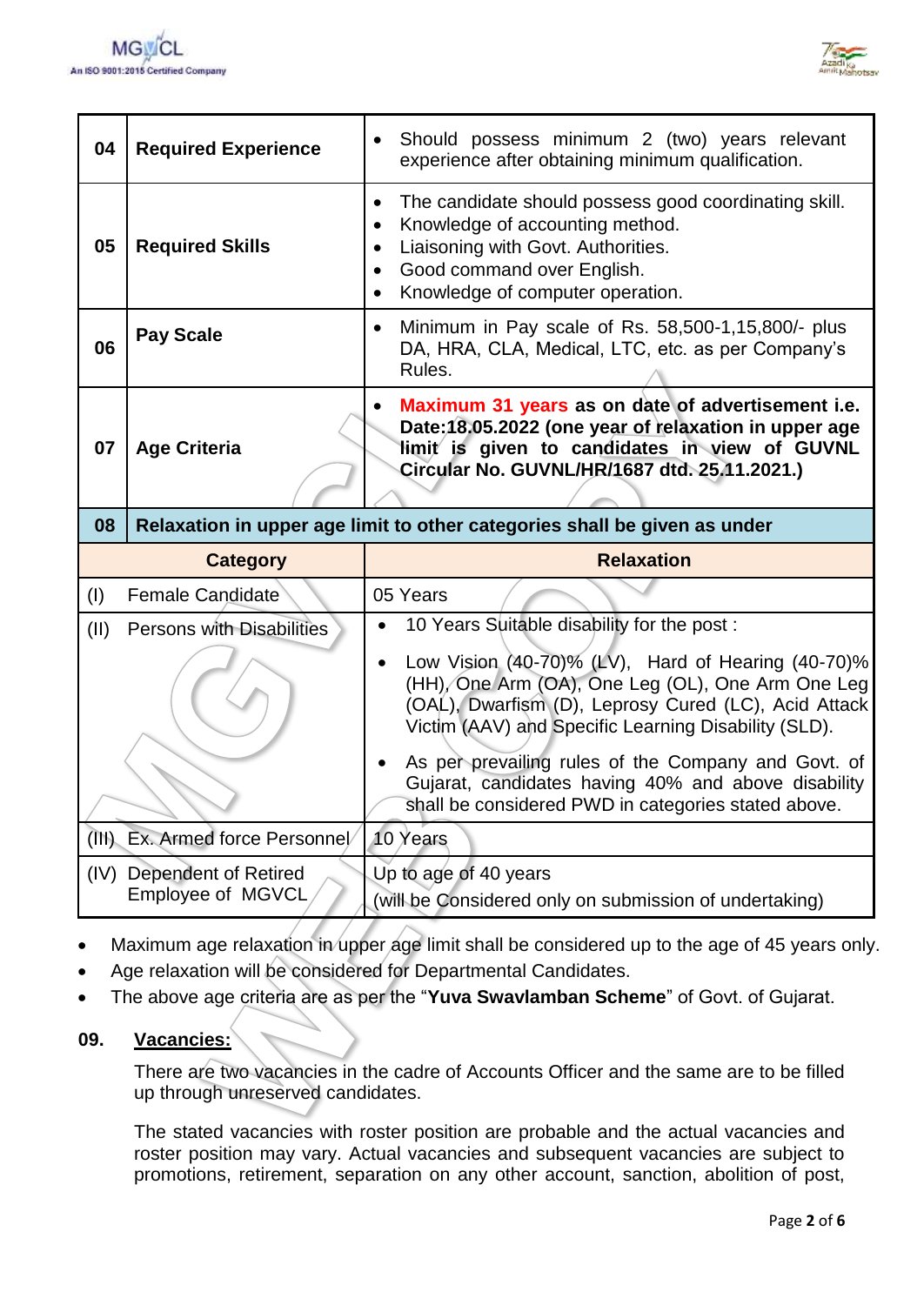



| 04              | <b>Required Experience</b>                                                | Should possess minimum 2 (two) years relevant<br>experience after obtaining minimum qualification.                                                                                                                                                                                              |  |
|-----------------|---------------------------------------------------------------------------|-------------------------------------------------------------------------------------------------------------------------------------------------------------------------------------------------------------------------------------------------------------------------------------------------|--|
| 05              | <b>Required Skills</b>                                                    | The candidate should possess good coordinating skill.<br>$\bullet$<br>Knowledge of accounting method.<br>$\bullet$<br>Liaisoning with Govt. Authorities.<br>Good command over English.<br>$\bullet$<br>Knowledge of computer operation.<br>$\bullet$                                            |  |
| 06              | <b>Pay Scale</b>                                                          | Minimum in Pay scale of Rs. 58,500-1,15,800/- plus<br>$\bullet$<br>DA, HRA, CLA, Medical, LTC, etc. as per Company's<br>Rules.                                                                                                                                                                  |  |
| 07              | <b>Age Criteria</b>                                                       | Maximum 31 years as on date of advertisement i.e.<br>$\bullet$<br>Date: 18.05.2022 (one year of relaxation in upper age<br>limit is given to candidates in view of GUVNL<br>Circular No. GUVNL/HR/1687 dtd. 25.11.2021.)                                                                        |  |
| 08              | Relaxation in upper age limit to other categories shall be given as under |                                                                                                                                                                                                                                                                                                 |  |
| <b>Category</b> |                                                                           | <b>Relaxation</b>                                                                                                                                                                                                                                                                               |  |
| (I)             | Female Candidate                                                          | 05 Years                                                                                                                                                                                                                                                                                        |  |
| (II)            | Persons with Disabilities                                                 | 10 Years Suitable disability for the post:<br>$\bullet$<br>Low Vision (40-70)% (LV), Hard of Hearing (40-70)%<br>$\bullet$<br>(HH), One Arm (OA), One Leg (OL), One Arm One Leg<br>(OAL), Dwarfism (D), Leprosy Cured (LC), Acid Attack<br>Victim (AAV) and Specific Learning Disability (SLD). |  |
|                 |                                                                           | As per prevailing rules of the Company and Govt. of<br>$\bullet$<br>Gujarat, candidates having 40% and above disability<br>shall be considered PWD in categories stated above.                                                                                                                  |  |
|                 | (III) Ex. Armed force Personnel/                                          | 10 Years                                                                                                                                                                                                                                                                                        |  |
|                 |                                                                           |                                                                                                                                                                                                                                                                                                 |  |

- Maximum age relaxation in upper age limit shall be considered up to the age of 45 years only.
- Age relaxation will be considered for Departmental Candidates.
- The above age criteria are as per the "**Yuva Swavlamban Scheme**" of Govt. of Gujarat.

#### **09. Vacancies:**

There are two vacancies in the cadre of Accounts Officer and the same are to be filled up through unreserved candidates.

The stated vacancies with roster position are probable and the actual vacancies and roster position may vary. Actual vacancies and subsequent vacancies are subject to promotions, retirement, separation on any other account, sanction, abolition of post,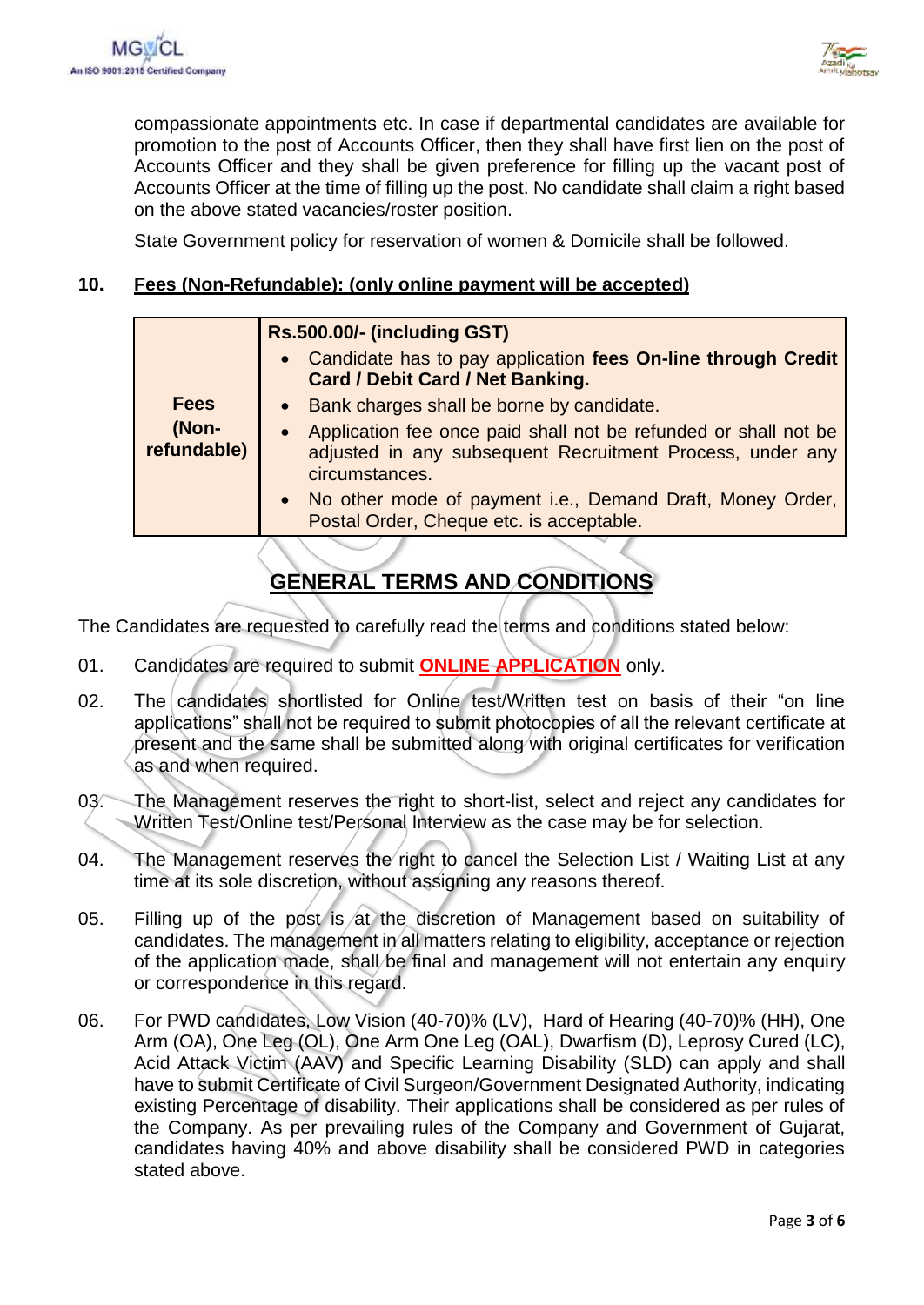

compassionate appointments etc. In case if departmental candidates are available for promotion to the post of Accounts Officer, then they shall have first lien on the post of Accounts Officer and they shall be given preference for filling up the vacant post of Accounts Officer at the time of filling up the post. No candidate shall claim a right based on the above stated vacancies/roster position.

State Government policy for reservation of women & Domicile shall be followed.

### **10. Fees (Non-Refundable): (only online payment will be accepted)**

| <b>Fees</b><br>• Bank charges shall be borne by candidate.<br>(Non-<br>Application fee once paid shall not be refunded or shall not be<br>$\bullet$<br>refundable)<br>adjusted in any subsequent Recruitment Process, under any<br>circumstances.<br>• No other mode of payment i.e., Demand Draft, Money Order,<br>Postal Order, Cheque etc. is acceptable. | Rs.500.00/- (including GST)<br>Candidate has to pay application fees On-line through Credit<br>$\bullet$<br><b>Card / Debit Card / Net Banking.</b> |
|--------------------------------------------------------------------------------------------------------------------------------------------------------------------------------------------------------------------------------------------------------------------------------------------------------------------------------------------------------------|-----------------------------------------------------------------------------------------------------------------------------------------------------|
|                                                                                                                                                                                                                                                                                                                                                              |                                                                                                                                                     |

## **GENERAL TERMS AND CONDITIONS**

The Candidates are requested to carefully read the terms and conditions stated below:

- 01. Candidates are required to submit **ONLINE APPLICATION** only.
- 02. The candidates shortlisted for Online test/Written test on basis of their "on line applications" shall not be required to submit photocopies of all the relevant certificate at present and the same shall be submitted along with original certificates for verification as and when required.
- 03. The Management reserves the right to short-list, select and reject any candidates for Written Test/Online test/Personal Interview as the case may be for selection.
- 04. The Management reserves the right to cancel the Selection List / Waiting List at any time at its sole discretion, without assigning any reasons thereof.
- 05. Filling up of the post is at the discretion of Management based on suitability of candidates. The management in all matters relating to eligibility, acceptance or rejection of the application made, shall be final and management will not entertain any enquiry or correspondence in this regard.
- 06. For PWD candidates, Low Vision (40-70)% (LV), Hard of Hearing (40-70)% (HH), One Arm (OA), One Leg (OL), One Arm One Leg (OAL), Dwarfism (D), Leprosy Cured (LC), Acid Attack Victim (AAV) and Specific Learning Disability (SLD) can apply and shall have to submit Certificate of Civil Surgeon/Government Designated Authority, indicating existing Percentage of disability. Their applications shall be considered as per rules of the Company. As per prevailing rules of the Company and Government of Gujarat, candidates having 40% and above disability shall be considered PWD in categories stated above.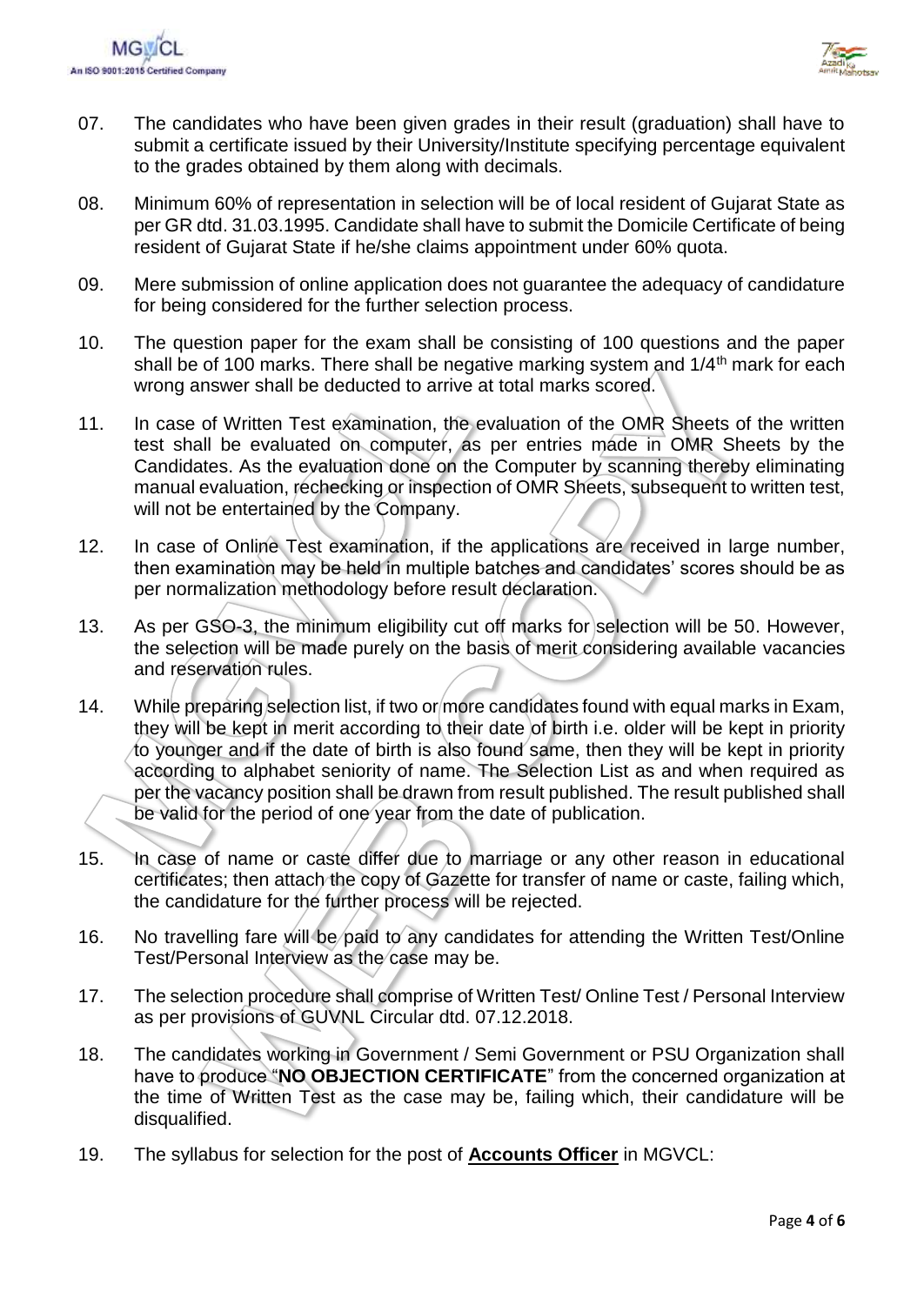



- 07. The candidates who have been given grades in their result (graduation) shall have to submit a certificate issued by their University/Institute specifying percentage equivalent to the grades obtained by them along with decimals.
- 08. Minimum 60% of representation in selection will be of local resident of Gujarat State as per GR dtd. 31.03.1995. Candidate shall have to submit the Domicile Certificate of being resident of Gujarat State if he/she claims appointment under 60% quota.
- 09. Mere submission of online application does not guarantee the adequacy of candidature for being considered for the further selection process.
- 10. The question paper for the exam shall be consisting of 100 questions and the paper shall be of 100 marks. There shall be negative marking system and  $1/4<sup>th</sup>$  mark for each wrong answer shall be deducted to arrive at total marks scored.
- 11. In case of Written Test examination, the evaluation of the OMR Sheets of the written test shall be evaluated on computer, as per entries made in OMR Sheets by the Candidates. As the evaluation done on the Computer by scanning thereby eliminating manual evaluation, rechecking or inspection of OMR Sheets, subsequent to written test, will not be entertained by the Company.
- 12. In case of Online Test examination, if the applications are received in large number, then examination may be held in multiple batches and candidates' scores should be as per normalization methodology before result declaration.
- 13. As per GSO-3, the minimum eligibility cut off marks for selection will be 50. However, the selection will be made purely on the basis of merit considering available vacancies and reservation rules.
- 14. While preparing selection list, if two or more candidates found with equal marks in Exam, they will be kept in merit according to their date of birth i.e. older will be kept in priority to younger and if the date of birth is also found same, then they will be kept in priority according to alphabet seniority of name. The Selection List as and when required as per the vacancy position shall be drawn from result published. The result published shall be valid for the period of one year from the date of publication.
- 15. In case of name or caste differ due to marriage or any other reason in educational certificates; then attach the copy of Gazette for transfer of name or caste, failing which, the candidature for the further process will be rejected.
- 16. No travelling fare will be paid to any candidates for attending the Written Test/Online Test/Personal Interview as the case may be.
- 17. The selection procedure shall comprise of Written Test/ Online Test / Personal Interview as per provisions of GUVNL Circular dtd. 07.12.2018.
- 18. The candidates working in Government / Semi Government or PSU Organization shall have to produce "**NO OBJECTION CERTIFICATE**" from the concerned organization at the time of Written Test as the case may be, failing which, their candidature will be disqualified.
- 19. The syllabus for selection for the post of **Accounts Officer** in MGVCL: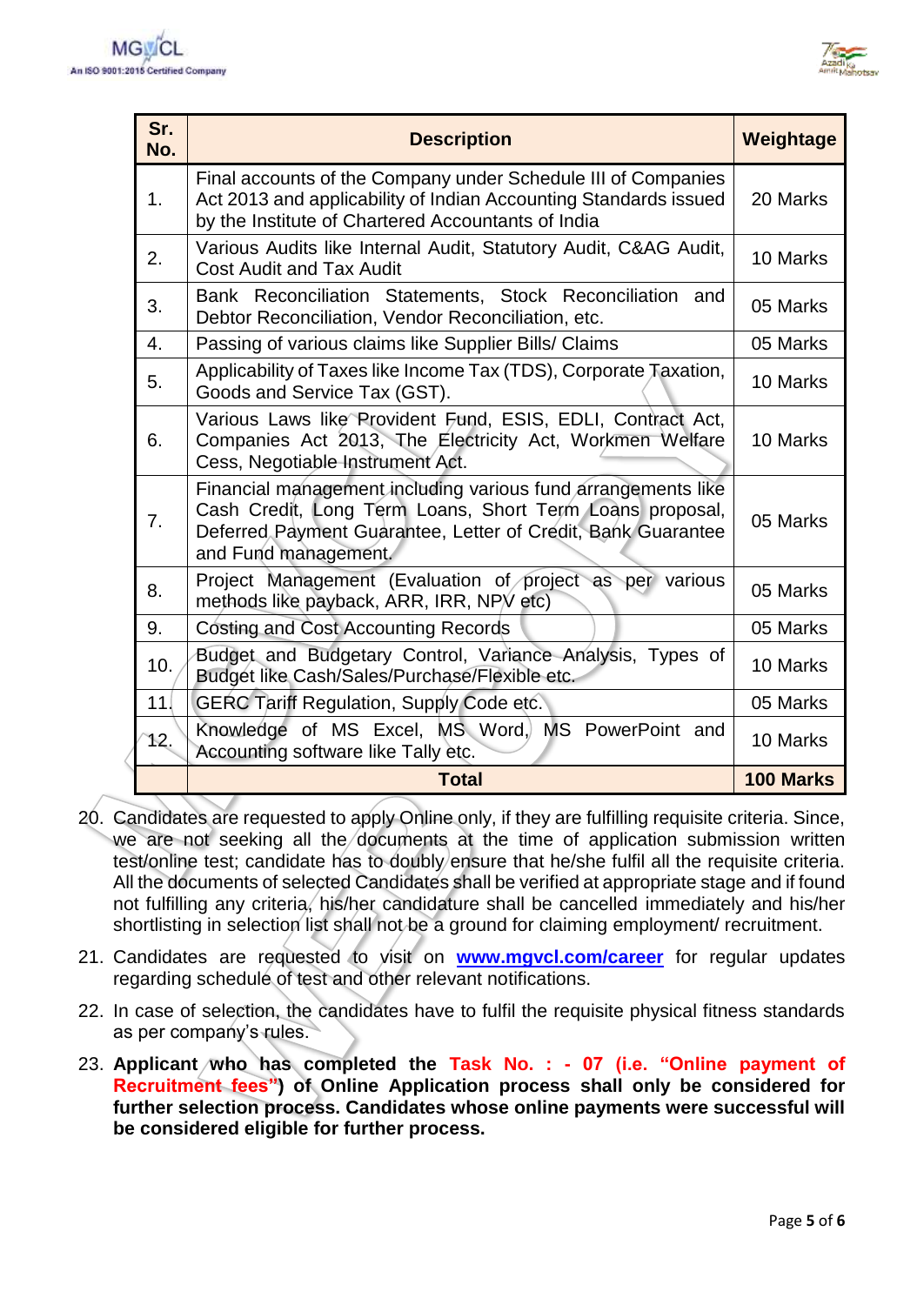

| Sr.<br>No. | <b>Description</b>                                                                                                                                                                                                | Weightage |
|------------|-------------------------------------------------------------------------------------------------------------------------------------------------------------------------------------------------------------------|-----------|
| 1.         | Final accounts of the Company under Schedule III of Companies<br>Act 2013 and applicability of Indian Accounting Standards issued<br>by the Institute of Chartered Accountants of India                           |           |
| 2.         | Various Audits like Internal Audit, Statutory Audit, C&AG Audit,<br><b>Cost Audit and Tax Audit</b>                                                                                                               | 10 Marks  |
| 3.         | Bank Reconciliation Statements, Stock Reconciliation and<br>Debtor Reconciliation, Vendor Reconciliation, etc.                                                                                                    |           |
| 4.         | Passing of various claims like Supplier Bills/ Claims                                                                                                                                                             | 05 Marks  |
| 5.         | Applicability of Taxes like Income Tax (TDS), Corporate Taxation,<br>Goods and Service Tax (GST).                                                                                                                 |           |
| 6.         | Various Laws like Provident Fund, ESIS, EDLI, Contract Act,<br>Companies Act 2013, The Electricity Act, Workmen Welfare<br>Cess, Negotiable Instrument Act.                                                       |           |
| 7.         | Financial management including various fund arrangements like<br>Cash Credit, Long Term Loans, Short Term Loans proposal,<br>Deferred Payment Guarantee, Letter of Credit, Bank Guarantee<br>and Fund management. |           |
| 8.         | Project Management (Evaluation of project as per various<br>methods like payback, ARR, IRR, NPV etc)                                                                                                              | 05 Marks  |
| 9.         | Costing and Cost Accounting Records                                                                                                                                                                               | 05 Marks  |
| 10.        | Budget and Budgetary Control, Variance Analysis, Types of<br>Budget like Cash/Sales/Purchase/Flexible etc.                                                                                                        | 10 Marks  |
| 11         | <b>GERC Tariff Regulation, Supply Code etc.</b>                                                                                                                                                                   | 05 Marks  |
| 12.        | Knowledge of MS Excel, MS Word, MS PowerPoint and<br>Accounting software like Tally etc.                                                                                                                          | 10 Marks  |
|            | <b>Total</b>                                                                                                                                                                                                      | 100 Marks |

- 20. Candidates are requested to apply Online only, if they are fulfilling requisite criteria. Since, we are not seeking all the documents at the time of application submission written test/online test; candidate has to doubly ensure that he/she fulfil all the requisite criteria. All the documents of selected Candidates shall be verified at appropriate stage and if found not fulfilling any criteria, his/her candidature shall be cancelled immediately and his/her shortlisting in selection list shall not be a ground for claiming employment/ recruitment.
- 21. Candidates are requested to visit on **[www.mgvcl.com/career](http://www.mgvcl.com/career)** for regular updates regarding schedule of test and other relevant notifications.
- 22. In case of selection, the candidates have to fulfil the requisite physical fitness standards as per company's rules.
- 23. **Applicant who has completed the Task No. : - 07 (i.e. "Online payment of Recruitment fees") of Online Application process shall only be considered for further selection process. Candidates whose online payments were successful will be considered eligible for further process.**